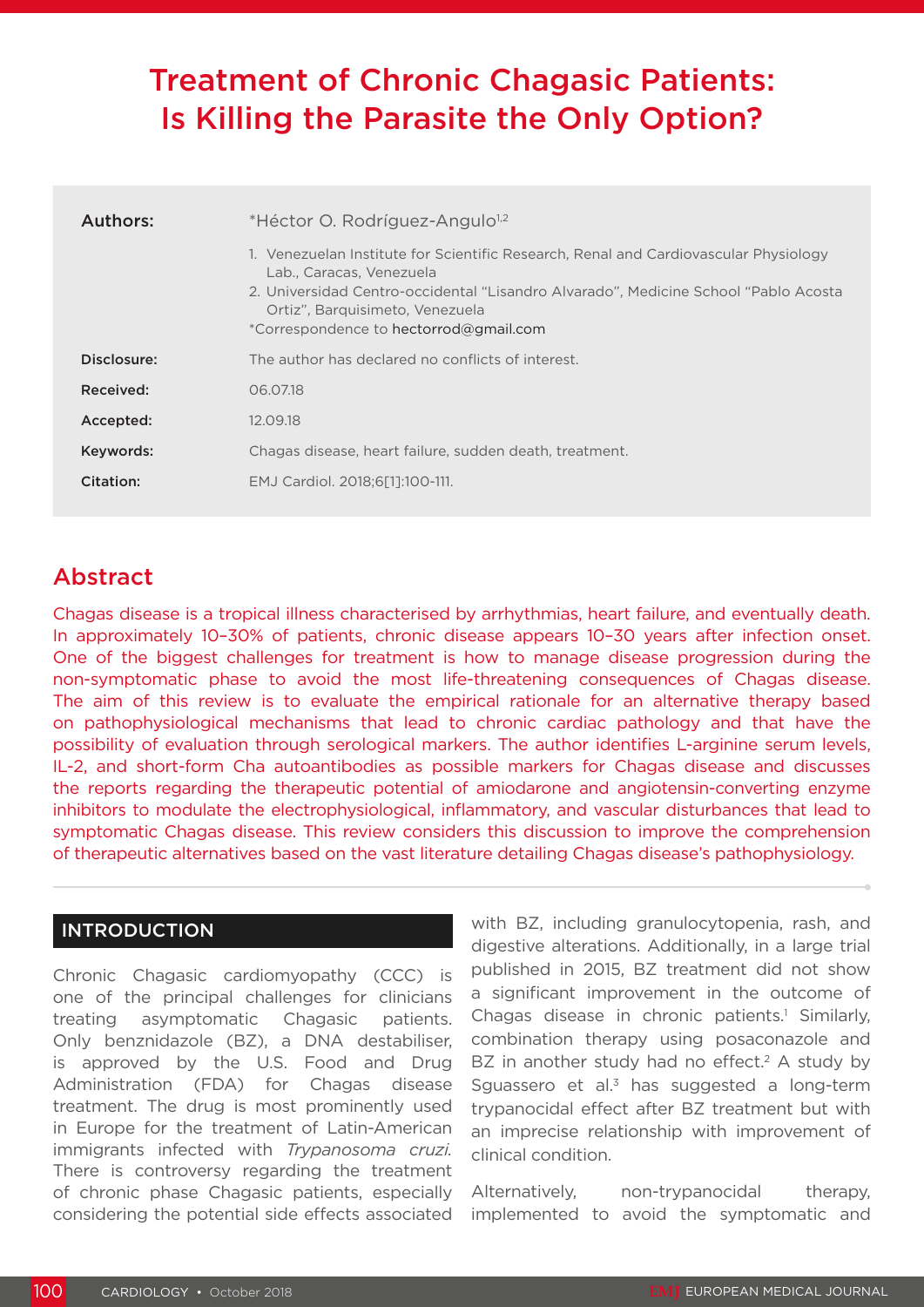# Treatment of Chronic Chagasic Patients: Is Killing the Parasite the Only Option?

| Authors:    | *Héctor O. Rodríguez-Angulo <sup>1,2</sup><br>1. Venezuelan Institute for Scientific Research, Renal and Cardiovascular Physiology                                                           |  |  |
|-------------|----------------------------------------------------------------------------------------------------------------------------------------------------------------------------------------------|--|--|
|             | Lab., Caracas, Venezuela<br>2. Universidad Centro-occidental "Lisandro Alvarado", Medicine School "Pablo Acosta<br>Ortiz", Barquisimeto, Venezuela<br>*Correspondence to hectorrod@gmail.com |  |  |
| Disclosure: | The author has declared no conflicts of interest.                                                                                                                                            |  |  |
| Received:   | 06.07.18                                                                                                                                                                                     |  |  |
| Accepted:   | 12.09.18                                                                                                                                                                                     |  |  |
| Keywords:   | Chagas disease, heart failure, sudden death, treatment.                                                                                                                                      |  |  |
| Citation:   | EMJ Cardiol. 2018;6[1]:100-111.                                                                                                                                                              |  |  |

# Abstract

Chagas disease is a tropical illness characterised by arrhythmias, heart failure, and eventually death. In approximately 10–30% of patients, chronic disease appears 10–30 years after infection onset. One of the biggest challenges for treatment is how to manage disease progression during the non-symptomatic phase to avoid the most life-threatening consequences of Chagas disease. The aim of this review is to evaluate the empirical rationale for an alternative therapy based on pathophysiological mechanisms that lead to chronic cardiac pathology and that have the possibility of evaluation through serological markers. The author identifies L-arginine serum levels, IL-2, and short-form Cha autoantibodies as possible markers for Chagas disease and discusses the reports regarding the therapeutic potential of amiodarone and angiotensin-converting enzyme inhibitors to modulate the electrophysiological, inflammatory, and vascular disturbances that lead to symptomatic Chagas disease. This review considers this discussion to improve the comprehension of therapeutic alternatives based on the vast literature detailing Chagas disease's pathophysiology.

# INTRODUCTION

Chronic Chagasic cardiomyopathy (CCC) is one of the principal challenges for clinicians treating asymptomatic Chagasic patients. Only benznidazole (BZ), a DNA destabiliser, is approved by the U.S. Food and Drug Administration (FDA) for Chagas disease treatment. The drug is most prominently used in Europe for the treatment of Latin-American immigrants infected with *Trypanosoma cruzi.* There is controversy regarding the treatment of chronic phase Chagasic patients, especially considering the potential side effects associated with BZ, including granulocytopenia, rash, and digestive alterations. Additionally, in a large trial published in 2015, BZ treatment did not show a significant improvement in the outcome of Chagas disease in chronic patients.<sup>1</sup> Similarly, combination therapy using posaconazole and BZ in another study had no effect.<sup>2</sup> A study by Sguassero et al. $3$  has suggested a long-term trypanocidal effect after BZ treatment but with an imprecise relationship with improvement of clinical condition.

Alternatively, non-trypanocidal therapy, implemented to avoid the symptomatic and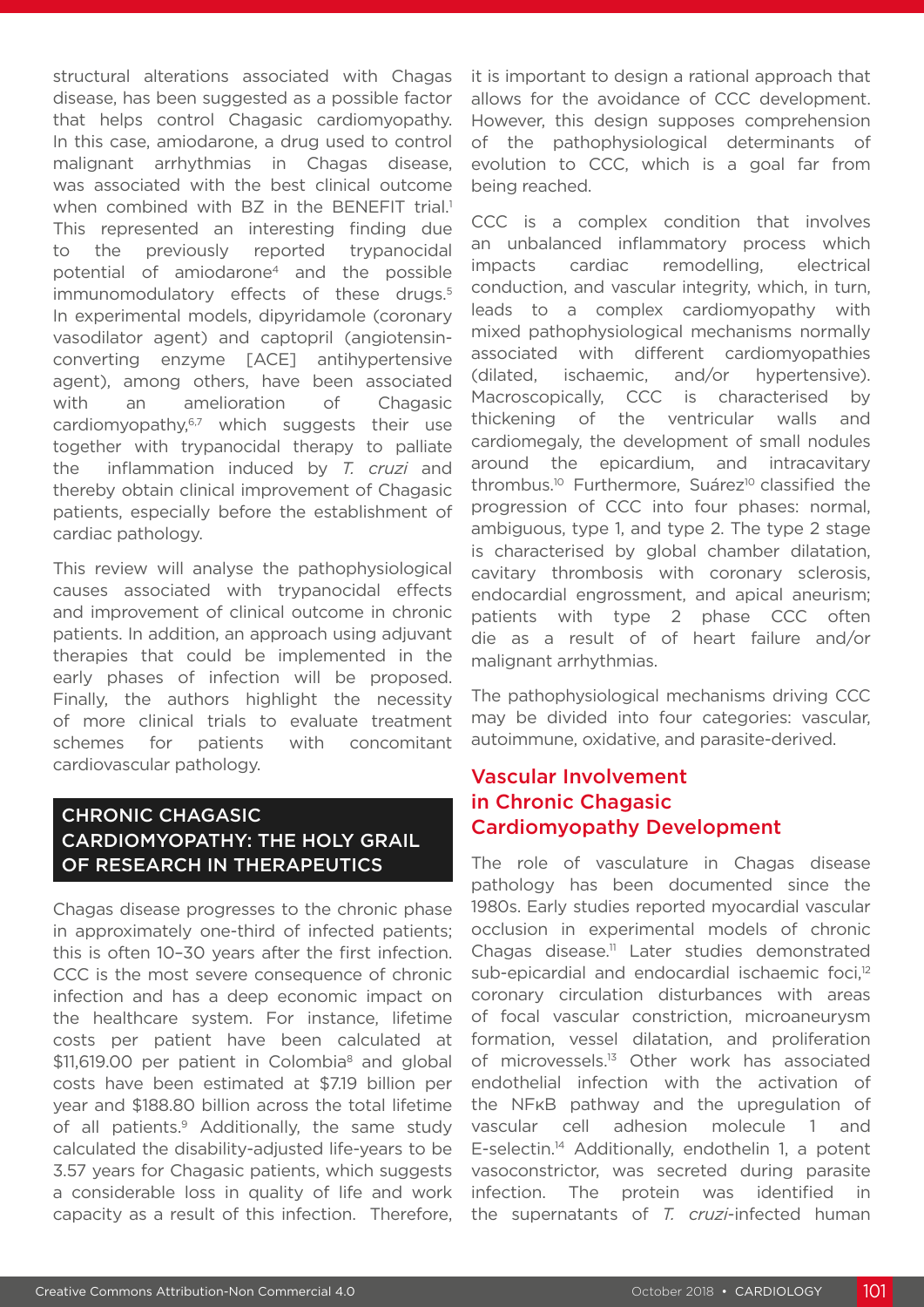structural alterations associated with Chagas disease, has been suggested as a possible factor that helps control Chagasic cardiomyopathy. In this case, amiodarone, a drug used to control malignant arrhythmias in Chagas disease, was associated with the best clinical outcome when combined with BZ in the BENEFIT trial.<sup>1</sup> This represented an interesting finding due to the previously reported trypanocidal potential of amiodarone4 and the possible immunomodulatory effects of these drugs.<sup>5</sup> In experimental models, dipyridamole (coronary vasodilator agent) and captopril (angiotensinconverting enzyme [ACE] antihypertensive agent), among others, have been associated with an amelioration of Chagasic cardiomyopathy,<sup>6,7</sup> which suggests their use together with trypanocidal therapy to palliate the inflammation induced by *T. cruzi* and thereby obtain clinical improvement of Chagasic patients, especially before the establishment of cardiac pathology.

This review will analyse the pathophysiological causes associated with trypanocidal effects and improvement of clinical outcome in chronic patients. In addition, an approach using adjuvant therapies that could be implemented in the early phases of infection will be proposed. Finally, the authors highlight the necessity of more clinical trials to evaluate treatment schemes for patients with concomitant cardiovascular pathology.

# CHRONIC CHAGASIC CARDIOMYOPATHY: THE HOLY GRAIL OF RESEARCH IN THERAPEUTICS

Chagas disease progresses to the chronic phase in approximately one-third of infected patients; this is often 10–30 years after the first infection. CCC is the most severe consequence of chronic infection and has a deep economic impact on the healthcare system. For instance, lifetime costs per patient have been calculated at \$11,619.00 per patient in Colombia<sup>8</sup> and global costs have been estimated at \$7.19 billion per year and \$188.80 billion across the total lifetime of all patients.<sup>9</sup> Additionally, the same study calculated the disability-adjusted life-years to be 3.57 years for Chagasic patients, which suggests a considerable loss in quality of life and work capacity as a result of this infection. Therefore, it is important to design a rational approach that allows for the avoidance of CCC development. However, this design supposes comprehension of the pathophysiological determinants of evolution to CCC, which is a goal far from being reached.

CCC is a complex condition that involves an unbalanced inflammatory process which impacts cardiac remodelling, electrical conduction, and vascular integrity, which, in turn, leads to a complex cardiomyopathy with mixed pathophysiological mechanisms normally associated with different cardiomyopathies (dilated, ischaemic, and/or hypertensive). Macroscopically, CCC is characterised by thickening of the ventricular walls and cardiomegaly, the development of small nodules around the epicardium, and intracavitary thrombus.<sup>10</sup> Furthermore, Suárez<sup>10</sup> classified the progression of CCC into four phases: normal, ambiguous, type 1, and type 2. The type 2 stage is characterised by global chamber dilatation, cavitary thrombosis with coronary sclerosis, endocardial engrossment, and apical aneurism; patients with type 2 phase CCC often die as a result of of heart failure and/or malignant arrhythmias.

The pathophysiological mechanisms driving CCC may be divided into four categories: vascular, autoimmune, oxidative, and parasite-derived.

# Vascular Involvement in Chronic Chagasic Cardiomyopathy Development

The role of vasculature in Chagas disease pathology has been documented since the 1980s. Early studies reported myocardial vascular occlusion in experimental models of chronic Chagas disease.<sup>11</sup> Later studies demonstrated sub-epicardial and endocardial ischaemic foci,<sup>12</sup> coronary circulation disturbances with areas of focal vascular constriction, microaneurysm formation, vessel dilatation, and proliferation of microvessels.13 Other work has associated endothelial infection with the activation of the NFκB pathway and the upregulation of vascular cell adhesion molecule 1 and E-selectin.14 Additionally, endothelin 1, a potent vasoconstrictor, was secreted during parasite infection. The protein was identified in the supernatants of *T. cruzi*-infected human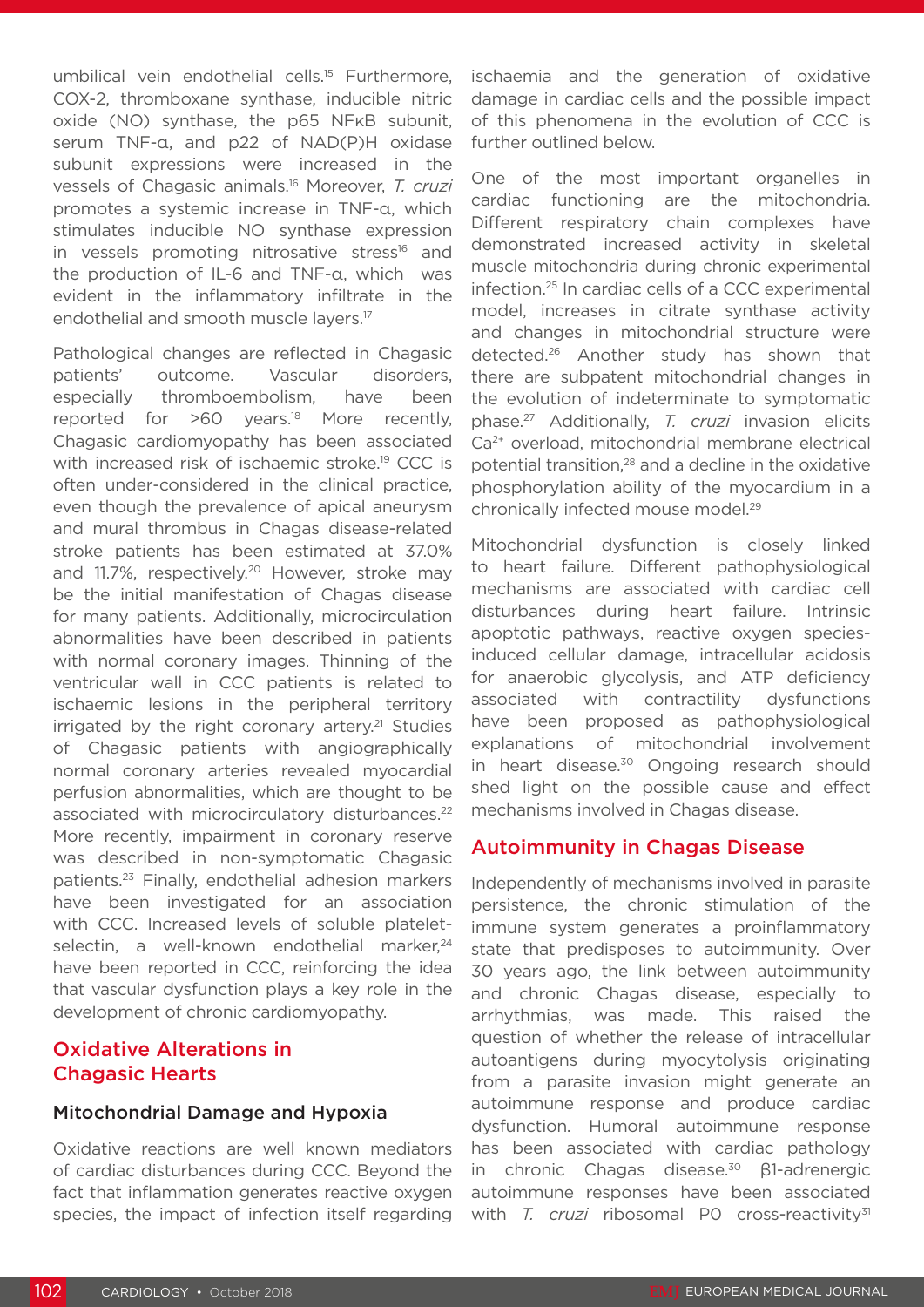umbilical vein endothelial cells.<sup>15</sup> Furthermore, COX-2, thromboxane synthase, inducible nitric oxide (NO) synthase, the p65 NFκB subunit, serum TNF-α, and p22 of NAD(P)H oxidase subunit expressions were increased in the vessels of Chagasic animals.16 Moreover, *T. cruzi*  promotes a systemic increase in TNF-α, which stimulates inducible NO synthase expression in vessels promoting nitrosative stress<sup>16</sup> and the production of IL-6 and TNF-α, which was evident in the inflammatory infiltrate in the endothelial and smooth muscle layers.17

Pathological changes are reflected in Chagasic patients' outcome. Vascular disorders, especially thromboembolism, have been reported for  $>60$  years.<sup>18</sup> More recently, Chagasic cardiomyopathy has been associated with increased risk of ischaemic stroke.<sup>19</sup> CCC is often under-considered in the clinical practice, even though the prevalence of apical aneurysm and mural thrombus in Chagas disease-related stroke patients has been estimated at 37.0% and 11.7%, respectively.20 However, stroke may be the initial manifestation of Chagas disease for many patients. Additionally, microcirculation abnormalities have been described in patients with normal coronary images. Thinning of the ventricular wall in CCC patients is related to ischaemic lesions in the peripheral territory  $irriqated$  by the right coronary artery.<sup>21</sup> Studies of Chagasic patients with angiographically normal coronary arteries revealed myocardial perfusion abnormalities, which are thought to be associated with microcirculatory disturbances.<sup>22</sup> More recently, impairment in coronary reserve was described in non-symptomatic Chagasic patients.23 Finally, endothelial adhesion markers have been investigated for an association with CCC. Increased levels of soluble plateletselectin, a well-known endothelial marker,<sup>24</sup> have been reported in CCC, reinforcing the idea that vascular dysfunction plays a key role in the development of chronic cardiomyopathy.

# Oxidative Alterations in Chagasic Hearts

#### Mitochondrial Damage and Hypoxia

Oxidative reactions are well known mediators of cardiac disturbances during CCC. Beyond the fact that inflammation generates reactive oxygen species, the impact of infection itself regarding

ischaemia and the generation of oxidative damage in cardiac cells and the possible impact of this phenomena in the evolution of CCC is further outlined below.

One of the most important organelles in cardiac functioning are the mitochondria. Different respiratory chain complexes have demonstrated increased activity in skeletal muscle mitochondria during chronic experimental infection.25 In cardiac cells of a CCC experimental model, increases in citrate synthase activity and changes in mitochondrial structure were detected.26 Another study has shown that there are subpatent mitochondrial changes in the evolution of indeterminate to symptomatic phase.27 Additionally, *T. cruzi* invasion elicits Ca<sup>2+</sup> overload, mitochondrial membrane electrical potential transition,28 and a decline in the oxidative phosphorylation ability of the myocardium in a chronically infected mouse model.29

Mitochondrial dysfunction is closely linked to heart failure. Different pathophysiological mechanisms are associated with cardiac cell disturbances during heart failure. Intrinsic apoptotic pathways, reactive oxygen speciesinduced cellular damage, intracellular acidosis for anaerobic glycolysis, and ATP deficiency associated with contractility dysfunctions have been proposed as pathophysiological explanations of mitochondrial involvement in heart disease.<sup>30</sup> Ongoing research should shed light on the possible cause and effect mechanisms involved in Chagas disease.

#### Autoimmunity in Chagas Disease

Independently of mechanisms involved in parasite persistence, the chronic stimulation of the immune system generates a proinflammatory state that predisposes to autoimmunity. Over 30 years ago, the link between autoimmunity and chronic Chagas disease, especially to arrhythmias, was made. This raised the question of whether the release of intracellular autoantigens during myocytolysis originating from a parasite invasion might generate an autoimmune response and produce cardiac dysfunction. Humoral autoimmune response has been associated with cardiac pathology in chronic Chagas disease.<sup>30</sup> β1-adrenergic autoimmune responses have been associated with *T. cruzi* ribosomal P0 cross-reactivity<sup>31</sup>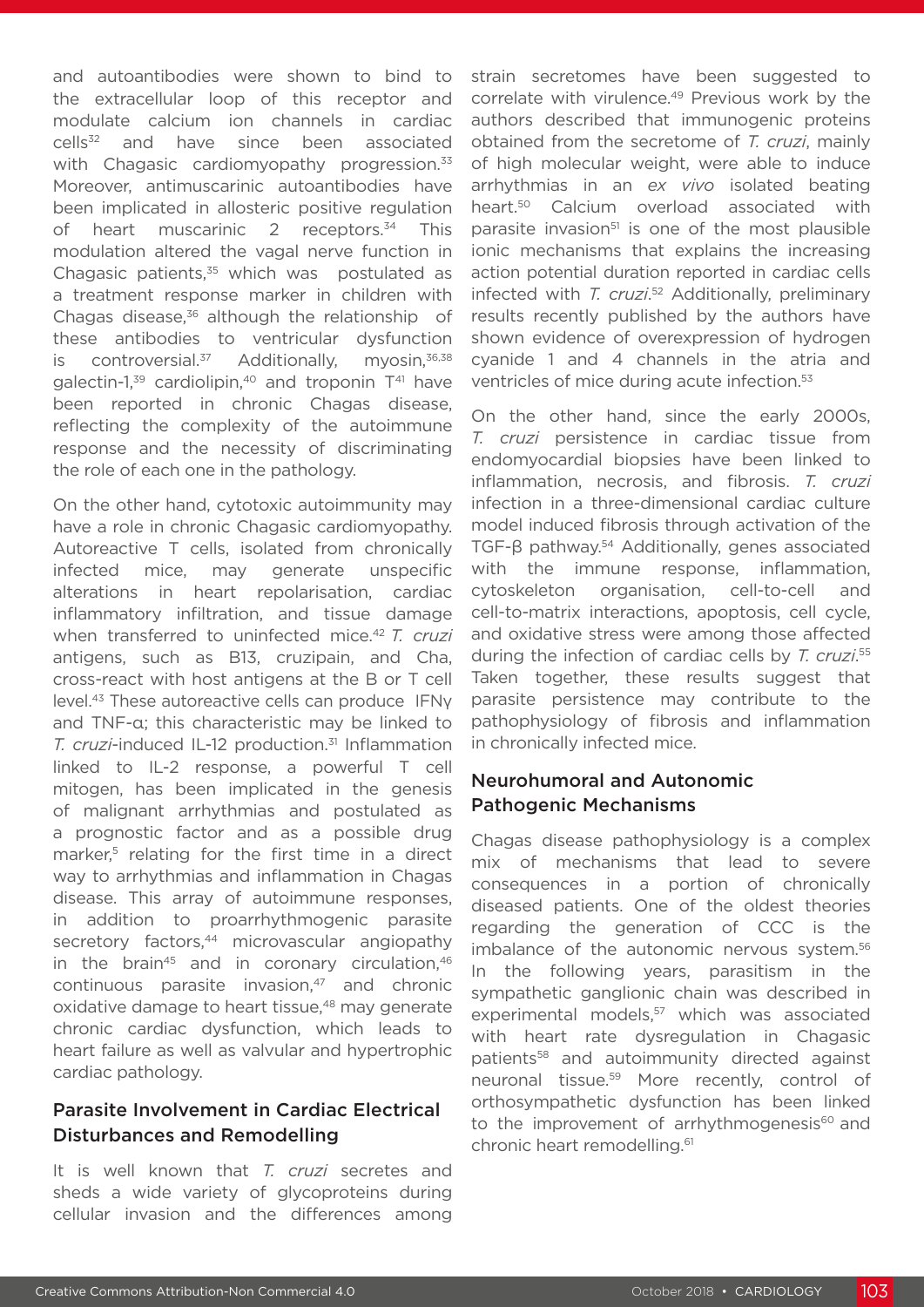and autoantibodies were shown to bind to the extracellular loop of this receptor and modulate calcium ion channels in cardiac cells<sup>32</sup> and have since been associated with Chagasic cardiomyopathy progression.<sup>33</sup> Moreover, antimuscarinic autoantibodies have been implicated in allosteric positive regulation of heart muscarinic 2 receptors.<sup>34</sup> This modulation altered the vagal nerve function in Chagasic patients, $35$  which was postulated as a treatment response marker in children with Chagas disease.<sup>36</sup> although the relationship of these antibodies to ventricular dysfunction is controversial. $37$  Additionally, myosin, $36,38$ galectin-1, $39$  cardiolipin, $40$  and troponin  $T<sup>41</sup>$  have been reported in chronic Chagas disease, reflecting the complexity of the autoimmune response and the necessity of discriminating the role of each one in the pathology.

On the other hand, cytotoxic autoimmunity may have a role in chronic Chagasic cardiomyopathy. Autoreactive T cells, isolated from chronically infected mice, may generate unspecific alterations in heart repolarisation, cardiac inflammatory infiltration, and tissue damage when transferred to uninfected mice.<sup>42</sup> *T. cruzi* antigens, such as B13, cruzipain, and Cha, cross-react with host antigens at the B or T cell level.43 These autoreactive cells can produce IFNγ and TNF-α; this characteristic may be linked to *T. cruzi*-induced IL-12 production.<sup>31</sup> Inflammation linked to IL-2 response, a powerful T cell mitogen, has been implicated in the genesis of malignant arrhythmias and postulated as a prognostic factor and as a possible drug marker,<sup>5</sup> relating for the first time in a direct way to arrhythmias and inflammation in Chagas disease. This array of autoimmune responses, in addition to proarrhythmogenic parasite secretory factors,<sup>44</sup> microvascular angiopathy in the brain<sup>45</sup> and in coronary circulation, $46$ continuous parasite invasion,<sup>47</sup> and chronic oxidative damage to heart tissue,<sup>48</sup> may generate chronic cardiac dysfunction, which leads to heart failure as well as valvular and hypertrophic cardiac pathology.

### Parasite Involvement in Cardiac Electrical Disturbances and Remodelling

It is well known that *T. cruzi* secretes and sheds a wide variety of glycoproteins during cellular invasion and the differences among

strain secretomes have been suggested to correlate with virulence.<sup>49</sup> Previous work by the authors described that immunogenic proteins obtained from the secretome of *T. cruzi*, mainly of high molecular weight, were able to induce arrhythmias in an *ex vivo* isolated beating heart.<sup>50</sup> Calcium overload associated with parasite invasion $51$  is one of the most plausible ionic mechanisms that explains the increasing action potential duration reported in cardiac cells infected with *T. cruzi*. 52 Additionally, preliminary results recently published by the authors have shown evidence of overexpression of hydrogen cyanide 1 and 4 channels in the atria and ventricles of mice during acute infection.53

On the other hand, since the early 2000s, *T. cruzi* persistence in cardiac tissue from endomyocardial biopsies have been linked to inflammation, necrosis, and fibrosis. *T. cruzi*  infection in a three-dimensional cardiac culture model induced fibrosis through activation of the TGF-β pathway.<sup>54</sup> Additionally, genes associated with the immune response, inflammation, cytoskeleton organisation, cell-to-cell and cell-to-matrix interactions, apoptosis, cell cycle, and oxidative stress were among those affected during the infection of cardiac cells by *T. cruzi*. 55 Taken together, these results suggest that parasite persistence may contribute to the pathophysiology of fibrosis and inflammation in chronically infected mice.

### Neurohumoral and Autonomic Pathogenic Mechanisms

Chagas disease pathophysiology is a complex mix of mechanisms that lead to severe consequences in a portion of chronically diseased patients. One of the oldest theories regarding the generation of CCC is the imbalance of the autonomic nervous system.<sup>56</sup> In the following years, parasitism in the sympathetic ganglionic chain was described in experimental models,<sup>57</sup> which was associated with heart rate dysregulation in Chagasic patients<sup>58</sup> and autoimmunity directed against neuronal tissue.59 More recently, control of orthosympathetic dysfunction has been linked to the improvement of arrhythmogenesis $60$  and chronic heart remodelling.61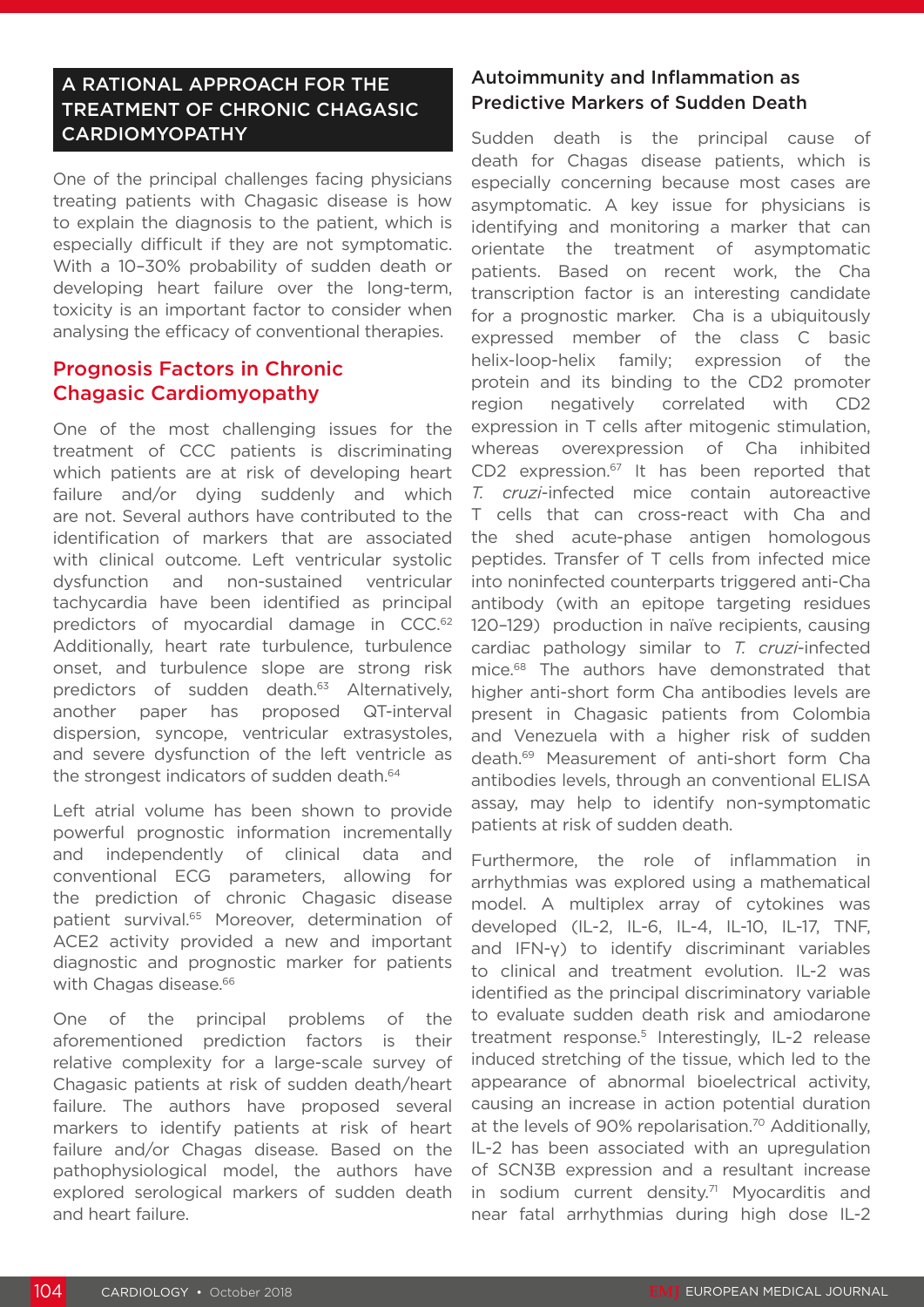# A RATIONAL APPROACH FOR THE TREATMENT OF CHRONIC CHAGASIC CARDIOMYOPATHY

One of the principal challenges facing physicians treating patients with Chagasic disease is how to explain the diagnosis to the patient, which is especially difficult if they are not symptomatic. With a 10–30% probability of sudden death or developing heart failure over the long-term, toxicity is an important factor to consider when analysing the efficacy of conventional therapies.

# Prognosis Factors in Chronic Chagasic Cardiomyopathy

One of the most challenging issues for the treatment of CCC patients is discriminating which patients are at risk of developing heart failure and/or dying suddenly and which are not. Several authors have contributed to the identification of markers that are associated with clinical outcome. Left ventricular systolic dysfunction and non-sustained ventricular tachycardia have been identified as principal predictors of myocardial damage in CCC.<sup>62</sup> Additionally, heart rate turbulence, turbulence onset, and turbulence slope are strong risk predictors of sudden death.<sup>63</sup> Alternatively, another paper has proposed QT-interval dispersion, syncope, ventricular extrasystoles, and severe dysfunction of the left ventricle as the strongest indicators of sudden death.<sup>64</sup>

Left atrial volume has been shown to provide powerful prognostic information incrementally and independently of clinical data and conventional ECG parameters, allowing for the prediction of chronic Chagasic disease patient survival.<sup>65</sup> Moreover, determination of ACE2 activity provided a new and important diagnostic and prognostic marker for patients with Chagas disease.<sup>66</sup>

One of the principal problems of the aforementioned prediction factors is their relative complexity for a large-scale survey of Chagasic patients at risk of sudden death/heart failure. The authors have proposed several markers to identify patients at risk of heart failure and/or Chagas disease. Based on the pathophysiological model, the authors have explored serological markers of sudden death and heart failure.

# Autoimmunity and Inflammation as Predictive Markers of Sudden Death

Sudden death is the principal cause of death for Chagas disease patients, which is especially concerning because most cases are asymptomatic. A key issue for physicians is identifying and monitoring a marker that can orientate the treatment of asymptomatic patients. Based on recent work, the Cha transcription factor is an interesting candidate for a prognostic marker. Cha is a ubiquitously expressed member of the class C basic helix-loop-helix family; expression of the protein and its binding to the CD2 promoter region negatively correlated with CD2 expression in T cells after mitogenic stimulation, whereas overexpression of Cha inhibited CD2 expression.<sup>67</sup> It has been reported that *T. cruzi*-infected mice contain autoreactive T cells that can cross-react with Cha and the shed acute-phase antigen homologous peptides. Transfer of T cells from infected mice into noninfected counterparts triggered anti-Cha antibody (with an epitope targeting residues 120–129) production in naïve recipients, causing cardiac pathology similar to *T. cruzi*-infected mice.<sup>68</sup> The authors have demonstrated that higher anti-short form Cha antibodies levels are present in Chagasic patients from Colombia and Venezuela with a higher risk of sudden death.69 Measurement of anti-short form Cha antibodies levels, through an conventional ELISA assay, may help to identify non-symptomatic patients at risk of sudden death.

Furthermore, the role of inflammation in arrhythmias was explored using a mathematical model. A multiplex array of cytokines was developed (IL-2, IL-6, IL-4, IL-10, IL-17, TNF, and IFN-γ) to identify discriminant variables to clinical and treatment evolution. IL-2 was identified as the principal discriminatory variable to evaluate sudden death risk and amiodarone treatment response.<sup>5</sup> Interestingly, IL-2 release induced stretching of the tissue, which led to the appearance of abnormal bioelectrical activity, causing an increase in action potential duration at the levels of 90% repolarisation.<sup>70</sup> Additionally, IL-2 has been associated with an upregulation of SCN3B expression and a resultant increase in sodium current density.<sup>71</sup> Myocarditis and near fatal arrhythmias during high dose IL-2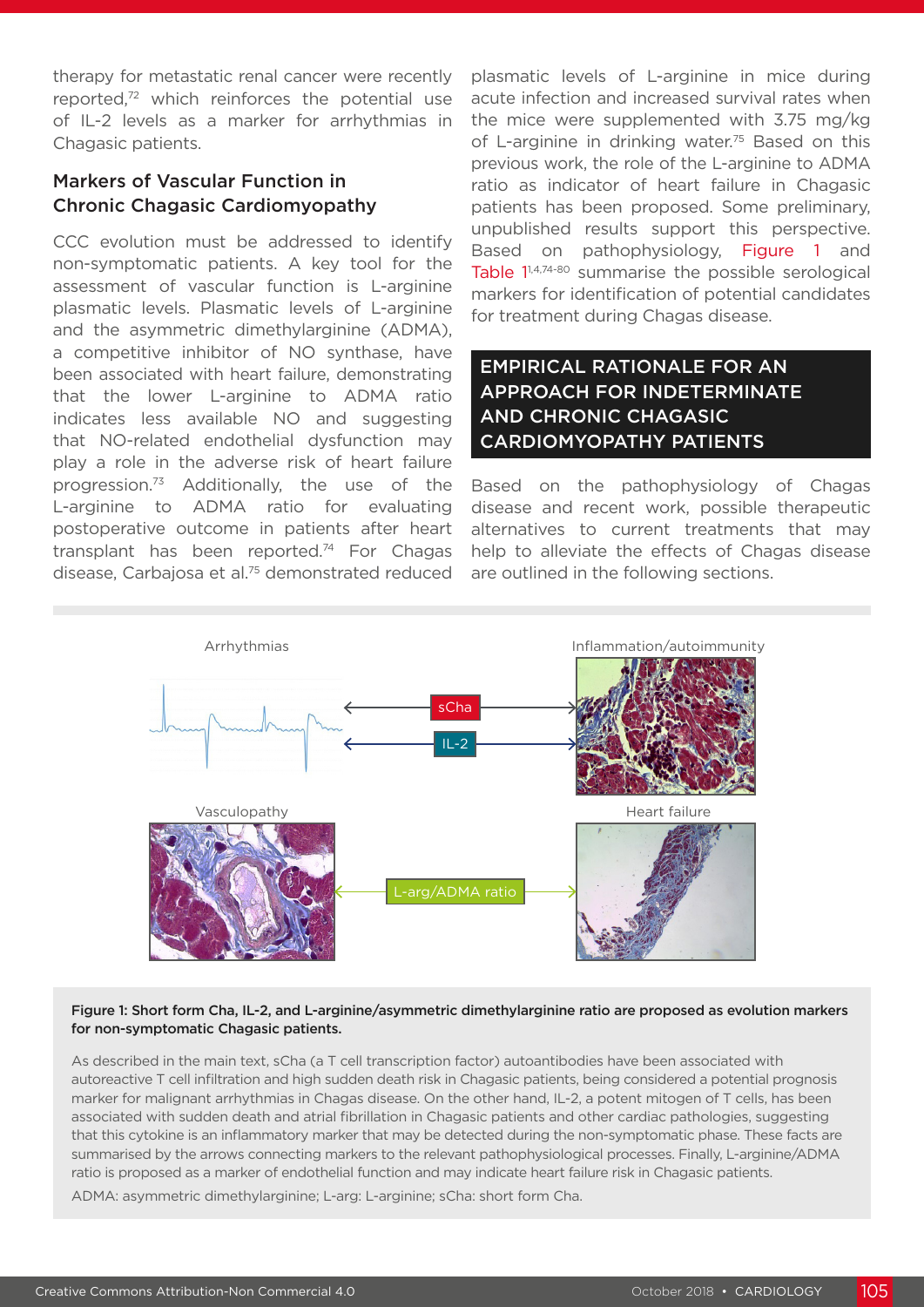therapy for metastatic renal cancer were recently reported,72 which reinforces the potential use of IL-2 levels as a marker for arrhythmias in Chagasic patients.

# Markers of Vascular Function in Chronic Chagasic Cardiomyopathy

CCC evolution must be addressed to identify non-symptomatic patients. A key tool for the assessment of vascular function is L-arginine plasmatic levels. Plasmatic levels of L-arginine and the asymmetric dimethylarginine (ADMA), a competitive inhibitor of NO synthase, have been associated with heart failure, demonstrating that the lower L-arginine to ADMA ratio indicates less available NO and suggesting that NO-related endothelial dysfunction may play a role in the adverse risk of heart failure progression.73 Additionally, the use of the L-arginine to ADMA ratio for evaluating postoperative outcome in patients after heart transplant has been reported.<sup>74</sup> For Chagas disease, Carbajosa et al.75 demonstrated reduced

plasmatic levels of L-arginine in mice during acute infection and increased survival rates when the mice were supplemented with 3.75 mg/kg of L-arginine in drinking water.<sup>75</sup> Based on this previous work, the role of the L-arginine to ADMA ratio as indicator of heart failure in Chagasic patients has been proposed. Some preliminary, unpublished results support this perspective. Based on pathophysiology, Figure 1 and Table 1<sup>1,4,74-80</sup> summarise the possible serological markers for identification of potential candidates for treatment during Chagas disease.

# EMPIRICAL RATIONALE FOR AN APPROACH FOR INDETERMINATE AND CHRONIC CHAGASIC CARDIOMYOPATHY PATIENTS

Based on the pathophysiology of Chagas disease and recent work, possible therapeutic alternatives to current treatments that may help to alleviate the effects of Chagas disease are outlined in the following sections.



#### Figure 1: Short form Cha, IL-2, and L-arginine/asymmetric dimethylarginine ratio are proposed as evolution markers for non-symptomatic Chagasic patients.

As described in the main text, sCha (a T cell transcription factor) autoantibodies have been associated with autoreactive T cell infiltration and high sudden death risk in Chagasic patients, being considered a potential prognosis marker for malignant arrhythmias in Chagas disease. On the other hand, IL-2, a potent mitogen of T cells, has been associated with sudden death and atrial fibrillation in Chagasic patients and other cardiac pathologies, suggesting that this cytokine is an inflammatory marker that may be detected during the non-symptomatic phase. These facts are summarised by the arrows connecting markers to the relevant pathophysiological processes. Finally, L-arginine/ADMA ratio is proposed as a marker of endothelial function and may indicate heart failure risk in Chagasic patients.

ADMA: asymmetric dimethylarginine; L-arg: L-arginine; sCha: short form Cha.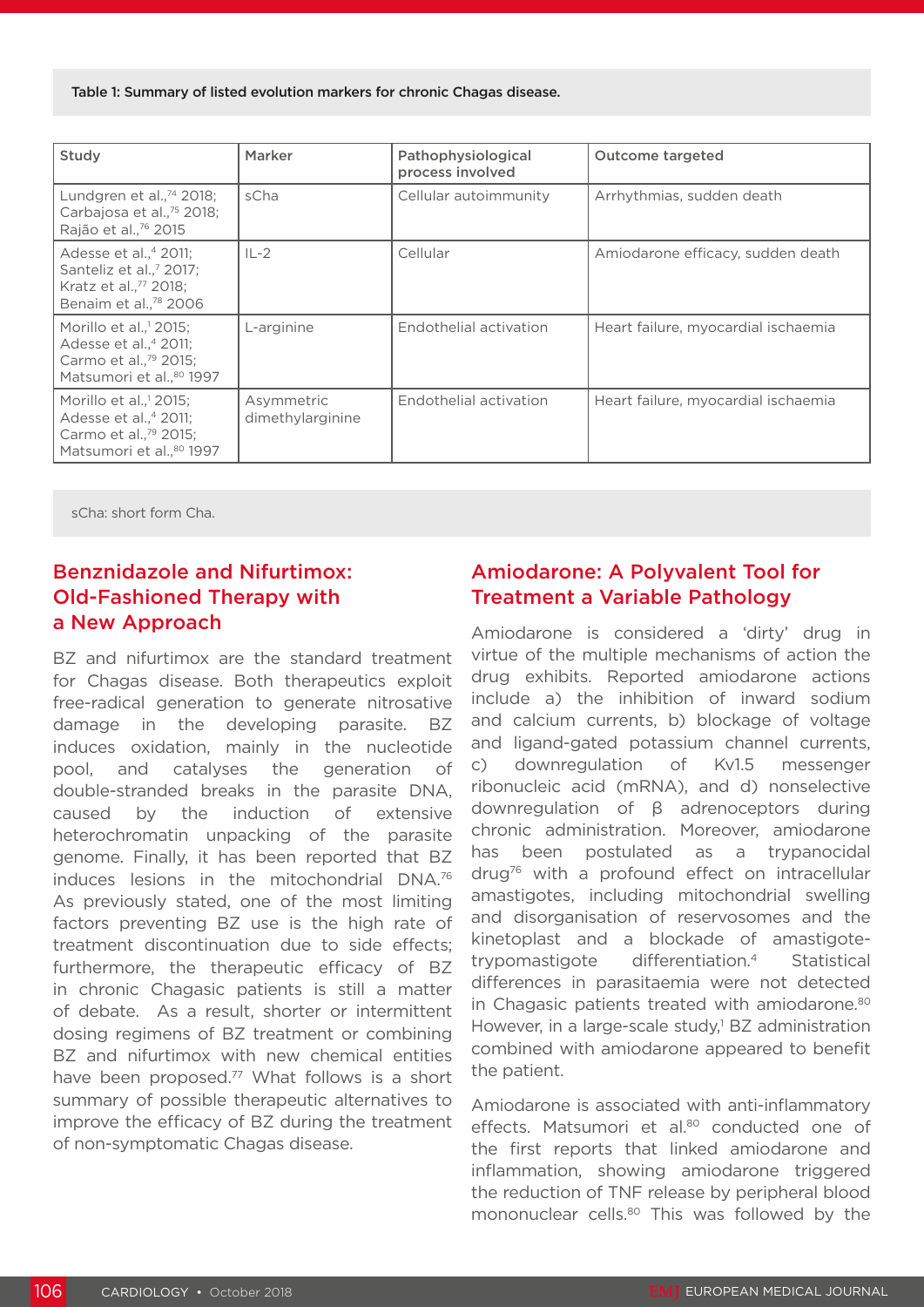Table 1: Summary of listed evolution markers for chronic Chagas disease.

| Study                                                                                                                                              | Marker                         | Pathophysiological<br>process involved | <b>Outcome targeted</b>             |
|----------------------------------------------------------------------------------------------------------------------------------------------------|--------------------------------|----------------------------------------|-------------------------------------|
| Lundgren et al., $^{74}$ 2018;<br>Carbajosa et al., <sup>75</sup> 2018;<br>Rajão et al., <sup>76</sup> 2015                                        | sCha                           | Cellular autoimmunity                  | Arrhythmias, sudden death           |
| Adesse et al., <sup>4</sup> 2011;<br>Santeliz et al., <sup>7</sup> 2017;<br>Kratz et al., <sup>77</sup> 2018;<br>Benaim et al., <sup>78</sup> 2006 | $IL-2$                         | Cellular                               | Amiodarone efficacy, sudden death   |
| Morillo et al., 2015:<br>Adesse et al., <sup>4</sup> 2011;<br>Carmo et al., <sup>79</sup> 2015;<br>Matsumori et al., <sup>80</sup> 1997            | L-arginine                     | Endothelial activation                 | Heart failure, myocardial ischaemia |
| Morillo et al., <sup>1</sup> 2015;<br>Adesse et al., <sup>4</sup> 2011;<br>Carmo et al., <sup>79</sup> 2015;<br>Matsumori et al <sup>80</sup> 1997 | Asymmetric<br>dimethylarginine | Endothelial activation                 | Heart failure, myocardial ischaemia |

sCha: short form Cha.

# Benznidazole and Nifurtimox: Old-Fashioned Therapy with a New Approach

BZ and nifurtimox are the standard treatment for Chagas disease. Both therapeutics exploit free-radical generation to generate nitrosative damage in the developing parasite. BZ induces oxidation, mainly in the nucleotide pool, and catalyses the generation of double-stranded breaks in the parasite DNA, caused by the induction of extensive heterochromatin unpacking of the parasite genome. Finally, it has been reported that BZ induces lesions in the mitochondrial DNA.76 As previously stated, one of the most limiting factors preventing BZ use is the high rate of treatment discontinuation due to side effects; furthermore, the therapeutic efficacy of BZ in chronic Chagasic patients is still a matter of debate. As a result, shorter or intermittent dosing regimens of BZ treatment or combining BZ and nifurtimox with new chemical entities have been proposed.<sup>77</sup> What follows is a short summary of possible therapeutic alternatives to improve the efficacy of BZ during the treatment of non-symptomatic Chagas disease.

# Amiodarone: A Polyvalent Tool for Treatment a Variable Pathology

Amiodarone is considered a 'dirty' drug in virtue of the multiple mechanisms of action the drug exhibits. Reported amiodarone actions include a) the inhibition of inward sodium and calcium currents, b) blockage of voltage and ligand-gated potassium channel currents, c) downregulation of Kv1.5 messenger ribonucleic acid (mRNA), and d) nonselective downregulation of β adrenoceptors during chronic administration. Moreover, amiodarone has been postulated as a trypanocidal drug76 with a profound effect on intracellular amastigotes, including mitochondrial swelling and disorganisation of reservosomes and the kinetoplast and a blockade of amastigotetrypomastigote differentiation.4 Statistical differences in parasitaemia were not detected in Chagasic patients treated with amiodarone.<sup>80</sup> However, in a large-scale study,<sup>1</sup> BZ administration combined with amiodarone appeared to benefit the patient.

Amiodarone is associated with anti-inflammatory effects. Matsumori et al.80 conducted one of the first reports that linked amiodarone and inflammation, showing amiodarone triggered the reduction of TNF release by peripheral blood mononuclear cells.<sup>80</sup> This was followed by the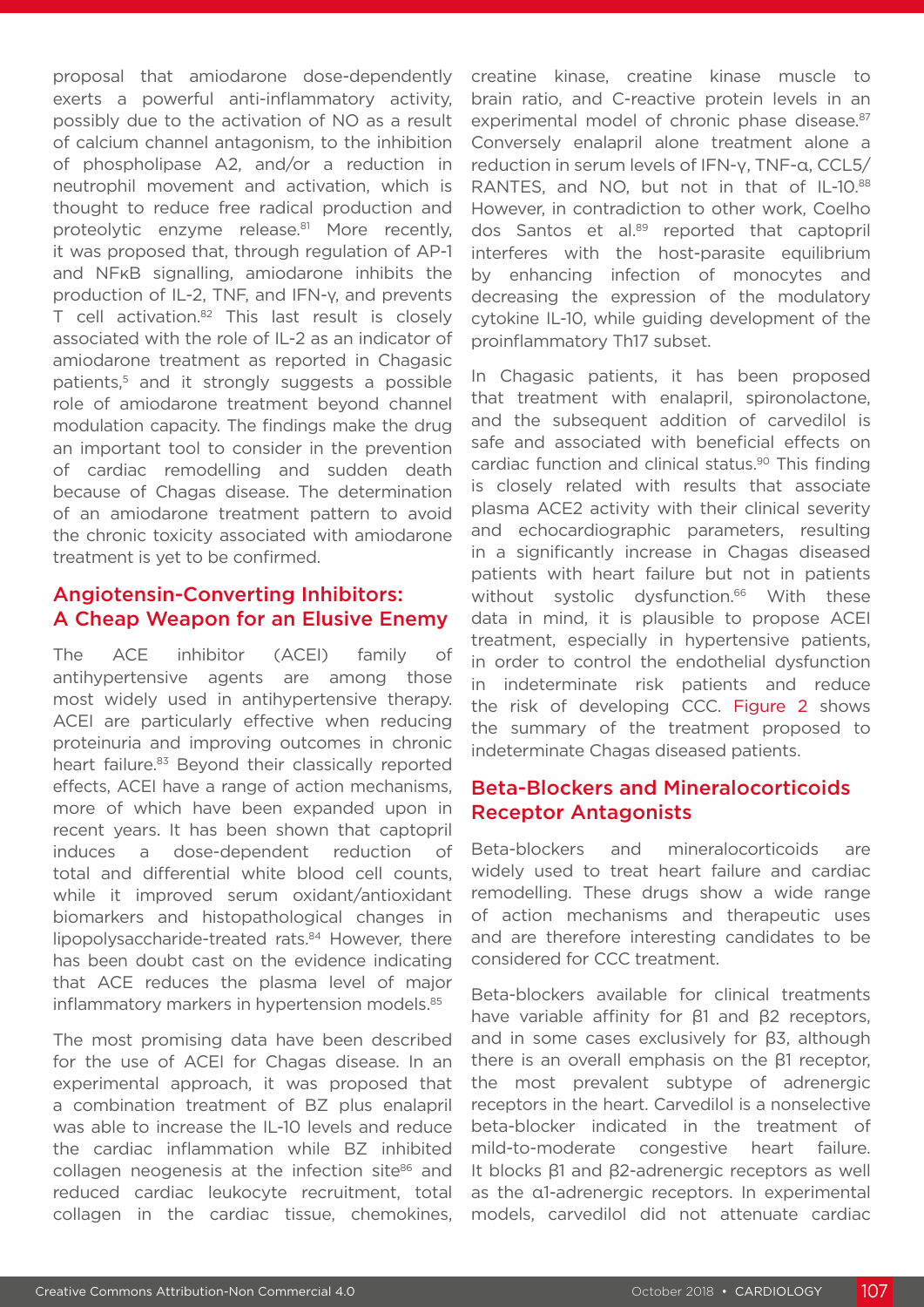proposal that amiodarone dose-dependently exerts a powerful anti-inflammatory activity, possibly due to the activation of NO as a result of calcium channel antagonism, to the inhibition of phospholipase A2, and/or a reduction in neutrophil movement and activation, which is thought to reduce free radical production and proteolytic enzyme release.<sup>81</sup> More recently, it was proposed that, through regulation of AP-1 and NFκB signalling, amiodarone inhibits the production of IL-2, TNF, and IFN-γ, and prevents T cell activation.<sup>82</sup> This last result is closely associated with the role of IL-2 as an indicator of amiodarone treatment as reported in Chagasic patients,<sup>5</sup> and it strongly suggests a possible role of amiodarone treatment beyond channel modulation capacity. The findings make the drug an important tool to consider in the prevention of cardiac remodelling and sudden death because of Chagas disease. The determination of an amiodarone treatment pattern to avoid the chronic toxicity associated with amiodarone treatment is yet to be confirmed.

### Angiotensin-Converting Inhibitors: A Cheap Weapon for an Elusive Enemy

The ACE inhibitor (ACEI) family of antihypertensive agents are among those most widely used in antihypertensive therapy. ACEI are particularly effective when reducing proteinuria and improving outcomes in chronic heart failure.<sup>83</sup> Beyond their classically reported effects, ACEI have a range of action mechanisms, more of which have been expanded upon in recent years. It has been shown that captopril induces a dose-dependent reduction of total and differential white blood cell counts, while it improved serum oxidant/antioxidant biomarkers and histopathological changes in lipopolysaccharide-treated rats.<sup>84</sup> However, there has been doubt cast on the evidence indicating that ACE reduces the plasma level of major inflammatory markers in hypertension models.<sup>85</sup>

The most promising data have been described for the use of ACEI for Chagas disease. In an experimental approach, it was proposed that a combination treatment of BZ plus enalapril was able to increase the IL-10 levels and reduce the cardiac inflammation while BZ inhibited collagen neogenesis at the infection site86 and reduced cardiac leukocyte recruitment, total collagen in the cardiac tissue, chemokines, creatine kinase, creatine kinase muscle to brain ratio, and C-reactive protein levels in an experimental model of chronic phase disease.<sup>87</sup> Conversely enalapril alone treatment alone a reduction in serum levels of IFN-γ, TNF-α, CCL5/ RANTES, and NO, but not in that of IL-10.88 However, in contradiction to other work, Coelho dos Santos et al.89 reported that captopril interferes with the host-parasite equilibrium by enhancing infection of monocytes and decreasing the expression of the modulatory cytokine IL-10, while guiding development of the proinflammatory Th17 subset.

In Chagasic patients, it has been proposed that treatment with enalapril, spironolactone, and the subsequent addition of carvedilol is safe and associated with beneficial effects on cardiac function and clinical status.90 This finding is closely related with results that associate plasma ACE2 activity with their clinical severity and echocardiographic parameters, resulting in a significantly increase in Chagas diseased patients with heart failure but not in patients without systolic dysfunction.<sup>66</sup> With these data in mind, it is plausible to propose ACEI treatment, especially in hypertensive patients, in order to control the endothelial dysfunction in indeterminate risk patients and reduce the risk of developing CCC. Figure 2 shows the summary of the treatment proposed to indeterminate Chagas diseased patients.

# Beta-Blockers and Mineralocorticoids Receptor Antagonists

Beta-blockers and mineralocorticoids are widely used to treat heart failure and cardiac remodelling. These drugs show a wide range of action mechanisms and therapeutic uses and are therefore interesting candidates to be considered for CCC treatment.

Beta-blockers available for clinical treatments have variable affinity for β1 and β2 receptors, and in some cases exclusively for β3, although there is an overall emphasis on the β1 receptor, the most prevalent subtype of adrenergic receptors in the heart. Carvedilol is a nonselective beta-blocker indicated in the treatment of mild-to-moderate congestive heart failure. It blocks β1 and β2-adrenergic receptors as well as the α1-adrenergic receptors. In experimental models, carvedilol did not attenuate cardiac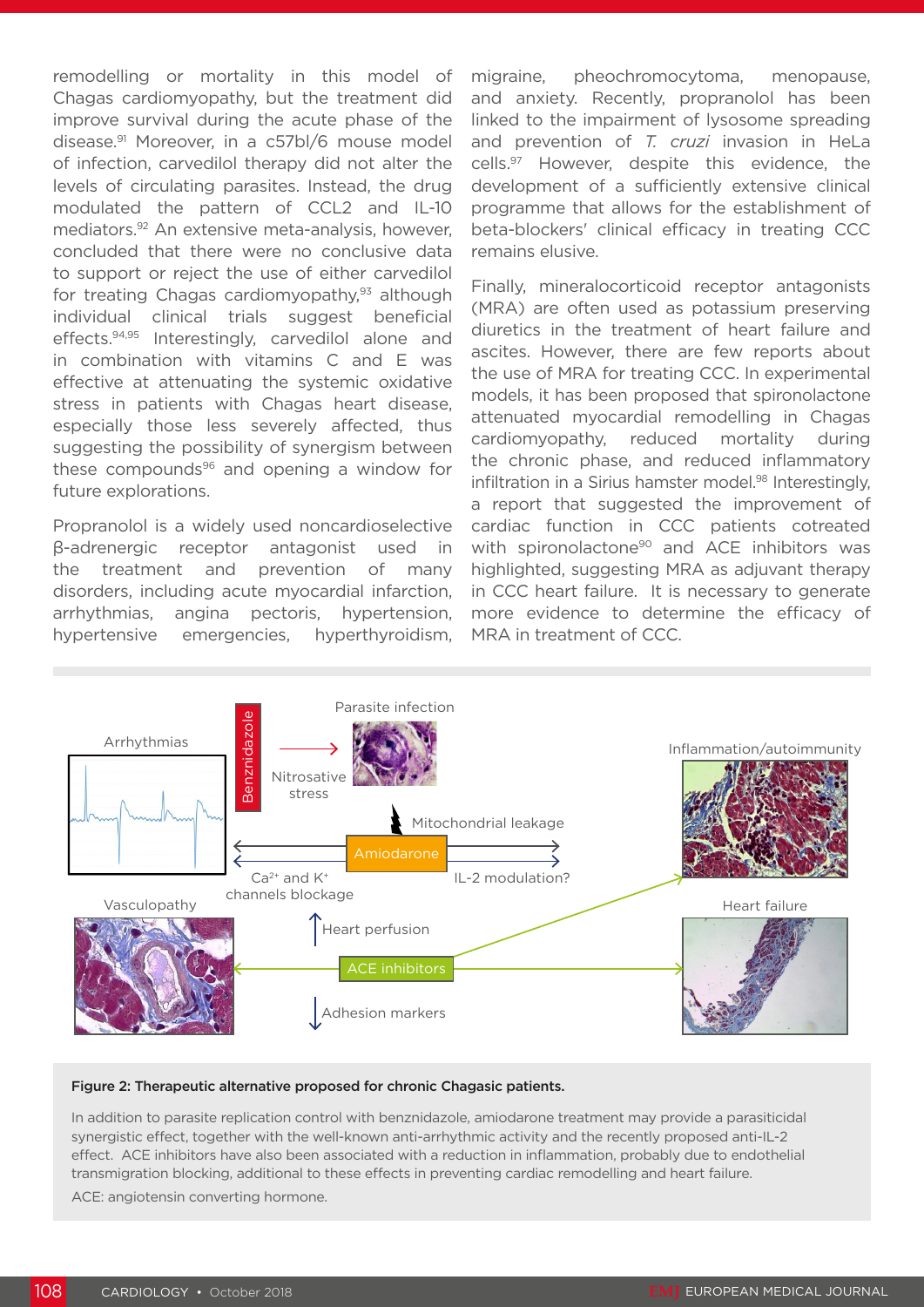remodelling or mortality in this model of Chagas cardiomyopathy, but the treatment did improve survival during the acute phase of the disease.91 Moreover, in a c57bl/6 mouse model of infection, carvedilol therapy did not alter the levels of circulating parasites. Instead, the drug modulated the pattern of CCL2 and IL-10 mediators.92 An extensive meta-analysis, however, concluded that there were no conclusive data to support or reject the use of either carvedilol for treating Chagas cardiomyopathy,<sup>93</sup> although individual clinical trials suggest beneficial effects.94,95 Interestingly, carvedilol alone and in combination with vitamins C and E was effective at attenuating the systemic oxidative stress in patients with Chagas heart disease, especially those less severely affected, thus suggesting the possibility of synergism between these compounds $96$  and opening a window for future explorations.

Propranolol is a widely used noncardioselective β-adrenergic receptor antagonist used in the treatment and prevention of many disorders, including acute myocardial infarction, arrhythmias, angina pectoris, hypertension, hypertensive emergencies, hyperthyroidism, migraine, pheochromocytoma, menopause, and anxiety. Recently, propranolol has been linked to the impairment of lysosome spreading and prevention of *T. cruzi* invasion in HeLa cells.97 However, despite this evidence, the development of a sufficiently extensive clinical programme that allows for the establishment of beta-blockers' clinical efficacy in treating CCC remains elusive.

Finally, mineralocorticoid receptor antagonists (MRA) are often used as potassium preserving diuretics in the treatment of heart failure and ascites. However, there are few reports about the use of MRA for treating CCC. In experimental models, it has been proposed that spironolactone attenuated myocardial remodelling in Chagas cardiomyopathy, reduced mortality during the chronic phase, and reduced inflammatory infiltration in a Sirius hamster model.<sup>98</sup> Interestingly, a report that suggested the improvement of cardiac function in CCC patients cotreated with spironolactone<sup>90</sup> and ACE inhibitors was highlighted, suggesting MRA as adjuvant therapy in CCC heart failure. It is necessary to generate more evidence to determine the efficacy of MRA in treatment of CCC.



#### Figure 2: Therapeutic alternative proposed for chronic Chagasic patients.

In addition to parasite replication control with benznidazole, amiodarone treatment may provide a parasiticidal synergistic effect, together with the well-known anti-arrhythmic activity and the recently proposed anti-IL-2 effect. ACE inhibitors have also been associated with a reduction in inflammation, probably due to endothelial transmigration blocking, additional to these effects in preventing cardiac remodelling and heart failure. ACE: angiotensin converting hormone.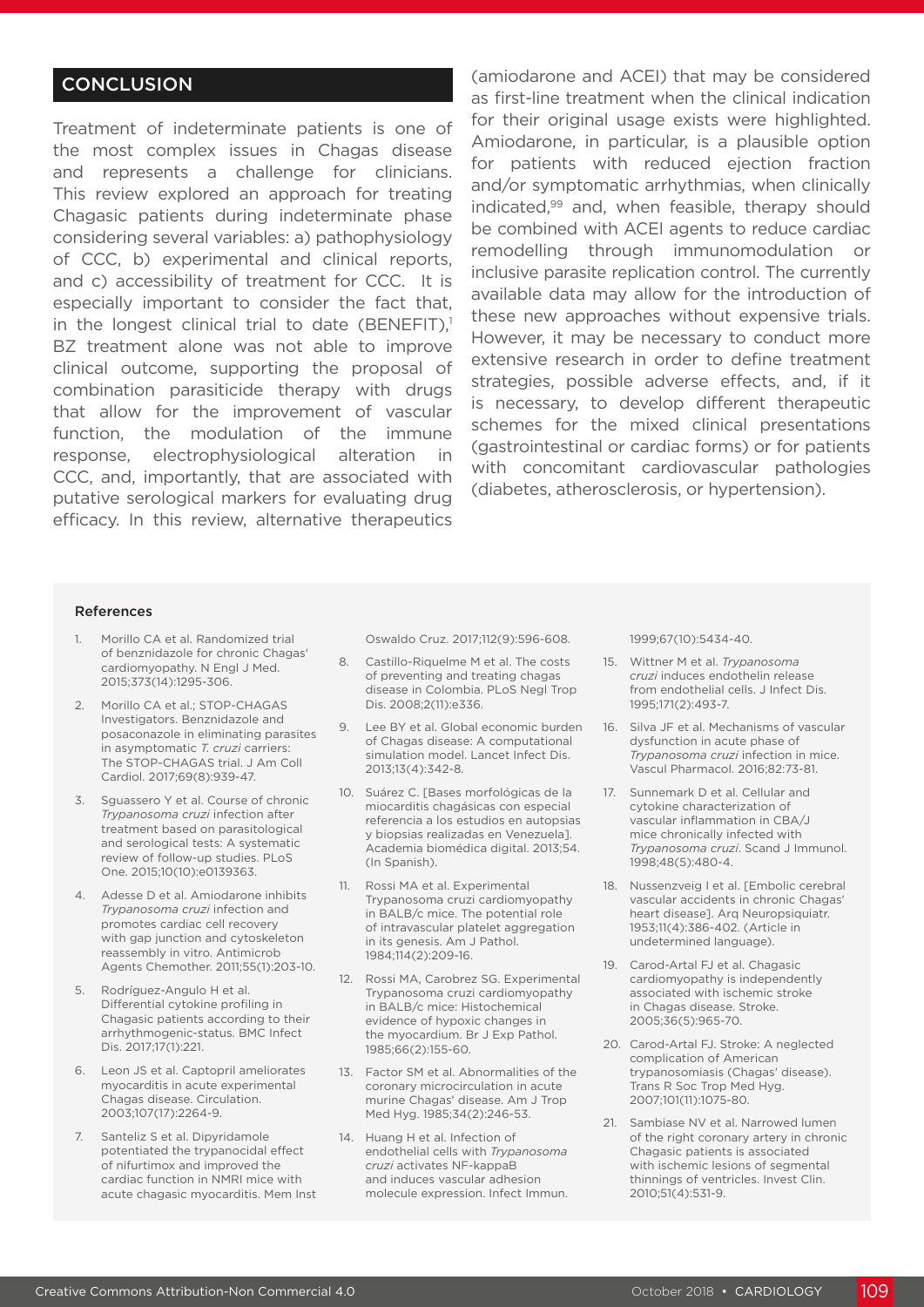# **CONCLUSION**

Treatment of indeterminate patients is one of the most complex issues in Chagas disease and represents a challenge for clinicians. This review explored an approach for treating Chagasic patients during indeterminate phase considering several variables: a) pathophysiology of CCC, b) experimental and clinical reports, and c) accessibility of treatment for CCC. It is especially important to consider the fact that, in the longest clinical trial to date (BENEFIT), $1$ BZ treatment alone was not able to improve clinical outcome, supporting the proposal of combination parasiticide therapy with drugs that allow for the improvement of vascular function, the modulation of the immune response, electrophysiological alteration in CCC, and, importantly, that are associated with putative serological markers for evaluating drug efficacy. In this review, alternative therapeutics

(amiodarone and ACEI) that may be considered as first-line treatment when the clinical indication for their original usage exists were highlighted. Amiodarone, in particular, is a plausible option for patients with reduced ejection fraction and/or symptomatic arrhythmias, when clinically indicated,99 and, when feasible, therapy should be combined with ACEI agents to reduce cardiac remodelling through immunomodulation or inclusive parasite replication control. The currently available data may allow for the introduction of these new approaches without expensive trials. However, it may be necessary to conduct more extensive research in order to define treatment strategies, possible adverse effects, and, if it is necessary, to develop different therapeutic schemes for the mixed clinical presentations (gastrointestinal or cardiac forms) or for patients with concomitant cardiovascular pathologies (diabetes, atherosclerosis, or hypertension).

#### References

- 1. Morillo CA et al. Randomized trial of benznidazole for chronic Chagas' cardiomyopathy. N Engl J Med. 2015;373(14):1295-306.
- 2. Morillo CA et al.; STOP-CHAGAS Investigators. Benznidazole and posaconazole in eliminating parasites in asymptomatic *T. cruzi* carriers: The STOP-CHAGAS trial. J Am Coll Cardiol. 2017;69(8):939-47.
- 3. Sguassero Y et al. Course of chronic *Trypanosoma cruzi* infection after treatment based on parasitological and serological tests: A systematic review of follow-up studies. PLoS One. 2015;10(10):e0139363.
- 4. Adesse D et al. Amiodarone inhibits *Trypanosoma cruzi* infection and promotes cardiac cell recovery with gap junction and cytoskeleton reassembly in vitro. Antimicrob Agents Chemother. 2011;55(1):203-10.
- 5. Rodríguez-Angulo H et al. Differential cytokine profiling in Chagasic patients according to their arrhythmogenic-status. BMC Infect Dis. 2017;17(1):221.
- 6. Leon JS et al. Captopril ameliorates myocarditis in acute experimental Chagas disease. Circulation. 2003;107(17):2264-9.
- 7. Santeliz S et al. Dipyridamole potentiated the trypanocidal effect of nifurtimox and improved the cardiac function in NMRI mice with acute chagasic myocarditis. Mem Inst

Oswaldo Cruz. 2017;112(9):596-608.

- 8. Castillo-Riquelme M et al. The costs of preventing and treating chagas disease in Colombia. PLoS Negl Trop Dis. 2008;2(11):e336.
- 9. Lee BY et al. Global economic burden of Chagas disease: A computational simulation model. Lancet Infect Dis. 2013;13(4):342-8.
- 10. Suárez C. [Bases morfológicas de la miocarditis chagásicas con especial referencia a los estudios en autopsias y biopsias realizadas en Venezuela]. Academia biomédica digital. 2013;54. (In Spanish).
- 11. Rossi MA et al. Experimental Trypanosoma cruzi cardiomyopathy in BALB/c mice. The potential role of intravascular platelet aggregation in its genesis. Am J Pathol. 1984;114(2):209-16.
- 12. Rossi MA, Carobrez SG. Experimental Trypanosoma cruzi cardiomyopathy in BALB/c mice: Histochemical evidence of hypoxic changes in the myocardium. Br J Exp Pathol. 1985;66(2):155-60.
- 13. Factor SM et al. Abnormalities of the coronary microcirculation in acute murine Chagas' disease. Am J Trop Med Hyg. 1985;34(2):246-53.
- 14. Huang H et al. Infection of endothelial cells with *Trypanosoma cruzi* activates NF-kappaB and induces vascular adhesion molecule expression. Infect Immun.

1999;67(10):5434-40.

- 15. Wittner M et al. *Trypanosoma cruzi* induces endothelin release from endothelial cells. J Infect Dis. 1995;171(2):493-7.
- 16. Silva JF et al. Mechanisms of vascular dysfunction in acute phase of *Trypanosoma cruzi* infection in mice. Vascul Pharmacol. 2016;82:73-81.
- 17. Sunnemark D et al. Cellular and cytokine characterization of vascular inflammation in CBA/J mice chronically infected with *Trypanosoma cruzi*. Scand J Immunol. 1998;48(5):480-4.
- 18. Nussenzveig I et al. [Embolic cerebral vascular accidents in chronic Chagas' heart disease]. Arq Neuropsiquiatr. 1953;11(4):386-402. (Article in undetermined language).
- 19. Carod-Artal FJ et al. Chagasic cardiomyopathy is independently associated with ischemic stroke in Chagas disease. Stroke. 2005;36(5):965-70.
- 20. Carod-Artal FJ. Stroke: A neglected complication of American trypanosomiasis (Chagas' disease). Trans R Soc Trop Med Hyg. 2007;101(11):1075-80.
- 21. Sambiase NV et al. Narrowed lumen of the right coronary artery in chronic Chagasic patients is associated with ischemic lesions of segmental thinnings of ventricles. Invest Clin. 2010;51(4):531-9.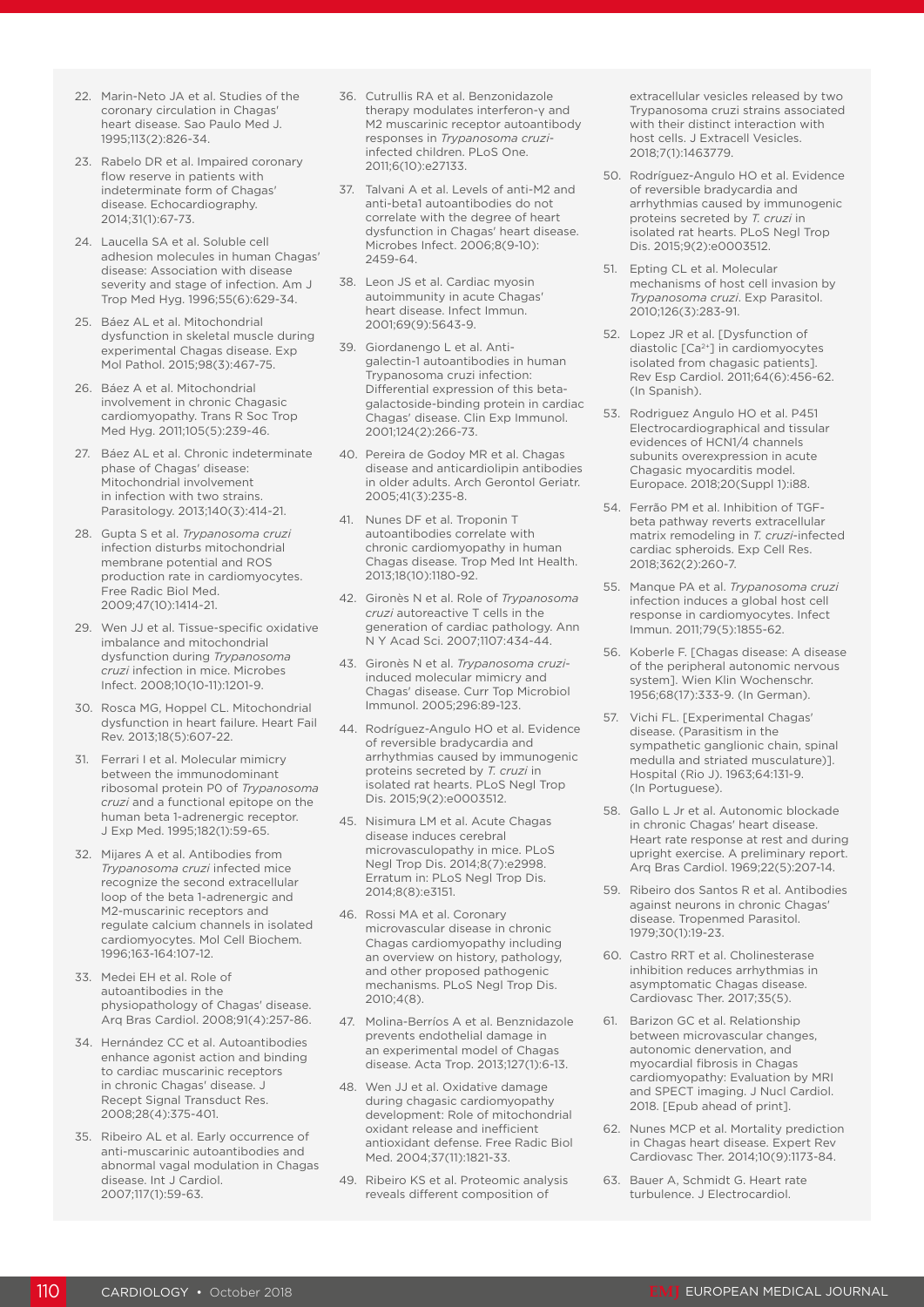- 22. Marin-Neto JA et al. Studies of the coronary circulation in Chagas' heart disease. Sao Paulo Med J. 1995;113(2):826-34.
- 23. Rabelo DR et al. Impaired coronary flow reserve in patients with indeterminate form of Chagas' disease. Echocardiography. 2014;31(1):67-73.
- 24. Laucella SA et al. Soluble cell adhesion molecules in human Chagas' disease: Association with disease severity and stage of infection. Am J Trop Med Hyg. 1996;55(6):629-34.
- 25. Báez AL et al. Mitochondrial dysfunction in skeletal muscle during experimental Chagas disease. Exp Mol Pathol. 2015;98(3):467-75.
- 26. Báez A et al. Mitochondrial involvement in chronic Chagasic cardiomyopathy. Trans R Soc Trop Med Hyg. 2011;105(5):239-46.
- 27. Báez AL et al. Chronic indeterminate phase of Chagas' disease: Mitochondrial involvement in infection with two strains. Parasitology. 2013;140(3):414-21.
- 28. Gupta S et al. *Trypanosoma cruzi*  infection disturbs mitochondrial membrane potential and ROS production rate in cardiomyocytes. Free Radic Biol Med. 2009;47(10):1414-21.
- 29. Wen JJ et al. Tissue-specific oxidative imbalance and mitochondrial dysfunction during *Trypanosoma cruzi* infection in mice. Microbes Infect. 2008;10(10-11):1201-9.
- 30. Rosca MG, Hoppel CL. Mitochondrial dysfunction in heart failure. Heart Fail Rev. 2013;18(5):607-22.
- 31. Ferrari I et al. Molecular mimicry between the immunodominant ribosomal protein P0 of *Trypanosoma cruzi* and a functional epitope on the human beta 1-adrenergic receptor. J Exp Med. 1995;182(1):59-65.
- 32. Mijares A et al. Antibodies from *Trypanosoma cruzi* infected mice recognize the second extracellular loop of the beta 1-adrenergic and M2-muscarinic receptors and regulate calcium channels in isolated cardiomyocytes. Mol Cell Biochem. 1996;163-164:107-12.
- 33. Medei EH et al. Role of autoantibodies in the physiopathology of Chagas' disease. Arq Bras Cardiol. 2008;91(4):257-86.
- 34. Hernández CC et al. Autoantibodies enhance agonist action and binding to cardiac muscarinic receptors in chronic Chagas' disease. J Recept Signal Transduct Res. 2008;28(4):375-401.
- 35. Ribeiro AL et al. Early occurrence of anti-muscarinic autoantibodies and abnormal vagal modulation in Chagas disease. Int J Cardiol. 2007;117(1):59-63.
- 36. Cutrullis RA et al. Benzonidazole therapy modulates interferon-γ and M2 muscarinic receptor autoantibody responses in *Trypanosoma cruzi*infected children. PLoS One. 2011;6(10):e27133.
- 37. Talvani A et al. Levels of anti-M2 and anti-beta1 autoantibodies do not correlate with the degree of heart dysfunction in Chagas' heart disease. Microbes Infect. 2006;8(9-10): 2459-64.
- 38. Leon JS et al. Cardiac myosin autoimmunity in acute Chagas' heart disease. Infect Immun. 2001;69(9):5643-9.
- 39. Giordanengo L et al. Antigalectin-1 autoantibodies in human Trypanosoma cruzi infection: Differential expression of this betagalactoside-binding protein in cardiac Chagas' disease. Clin Exp Immunol. 2001;124(2):266-73.
- 40. Pereira de Godoy MR et al. Chagas disease and anticardiolipin antibodies in older adults. Arch Gerontol Geriatr. 2005;41(3):235-8.
- 41. Nunes DF et al. Troponin T autoantibodies correlate with chronic cardiomyopathy in human Chagas disease. Trop Med Int Health. 2013;18(10):1180-92.
- 42. Gironès N et al. Role of *Trypanosoma cruzi* autoreactive T cells in the generation of cardiac pathology. Ann N Y Acad Sci. 2007;1107:434-44.
- 43. Gironès N et al. *Trypanosoma cruzi*induced molecular mimicry and Chagas' disease. Curr Top Microbiol Immunol. 2005;296:89-123.
- 44. Rodríguez-Angulo HO et al. Evidence of reversible bradycardia and arrhythmias caused by immunogenic proteins secreted by *T. cruzi* in isolated rat hearts. PLoS Negl Trop Dis. 2015;9(2):e0003512.
- 45. Nisimura LM et al. Acute Chagas disease induces cerebral microvasculopathy in mice. PLoS Negl Trop Dis. 2014;8(7):e2998. Erratum in: PLoS Negl Trop Dis. 2014;8(8):e3151.
- 46. Rossi MA et al. Coronary microvascular disease in chronic Chagas cardiomyopathy including an overview on history, pathology, and other proposed pathogenic mechanisms. PLoS Negl Trop Dis. 2010;4(8).
- 47. Molina-Berríos A et al. Benznidazole prevents endothelial damage in an experimental model of Chagas disease. Acta Trop. 2013;127(1):6-13.
- 48. Wen JJ et al. Oxidative damage during chagasic cardiomyopathy development: Role of mitochondrial oxidant release and inefficient antioxidant defense. Free Radic Biol Med. 2004;37(11):1821-33.
- 49. Ribeiro KS et al. Proteomic analysis reveals different composition of

extracellular vesicles released by two Trypanosoma cruzi strains associated with their distinct interaction with host cells. J Extracell Vesicles. 2018;7(1):1463779.

- 50. Rodríguez-Angulo HO et al. Evidence of reversible bradycardia and arrhythmias caused by immunogenic proteins secreted by *T. cruzi* in isolated rat hearts. PLoS Negl Trop Dis. 2015;9(2):e0003512.
- 51. Epting CL et al. Molecular mechanisms of host cell invasion by *Trypanosoma cruzi*. Exp Parasitol. 2010;126(3):283-91.
- 52. Lopez JR et al. [Dysfunction of diastolic [Ca2+] in cardiomyocytes isolated from chagasic patients]. Rev Esp Cardiol. 2011;64(6):456-62. (In Spanish).
- 53. Rodriguez Angulo HO et al. P451 Electrocardiographical and tissular evidences of HCN1/4 channels subunits overexpression in acute Chagasic myocarditis model. Europace. 2018;20(Suppl 1):i88.
- 54. Ferrão PM et al. Inhibition of TGFbeta pathway reverts extracellular matrix remodeling in *T. cruzi*-infected cardiac spheroids. Exp Cell Res. 2018;362(2):260-7.
- 55. Manque PA et al. *Trypanosoma cruzi*  infection induces a global host cell response in cardiomyocytes. Infect Immun. 2011;79(5):1855-62.
- 56. Koberle F. [Chagas disease: A disease of the peripheral autonomic nervous system]. Wien Klin Wochenschr. 1956;68(17):333-9. (In German).
- 57. Vichi FL. [Experimental Chagas' disease. (Parasitism in the sympathetic ganglionic chain, spinal medulla and striated musculature)]. Hospital (Rio J). 1963;64:131-9. (In Portuguese).
- 58. Gallo L Jr et al. Autonomic blockade in chronic Chagas' heart disease. Heart rate response at rest and during upright exercise. A preliminary report. Arq Bras Cardiol. 1969;22(5):207-14.
- 59. Ribeiro dos Santos R et al. Antibodies against neurons in chronic Chagas' disease. Tropenmed Parasitol. 1979;30(1):19-23.
- 60. Castro RRT et al. Cholinesterase inhibition reduces arrhythmias in asymptomatic Chagas disease. Cardiovasc Ther. 2017;35(5).
- 61. Barizon GC et al. Relationship between microvascular changes, autonomic denervation, and myocardial fibrosis in Chagas cardiomyopathy: Evaluation by MRI and SPECT imaging. J Nucl Cardiol. 2018. [Epub ahead of print].
- 62. Nunes MCP et al. Mortality prediction in Chagas heart disease. Expert Rev Cardiovasc Ther. 2014;10(9):1173-84.
- 63. Bauer A, Schmidt G. Heart rate turbulence. J Electrocardiol.